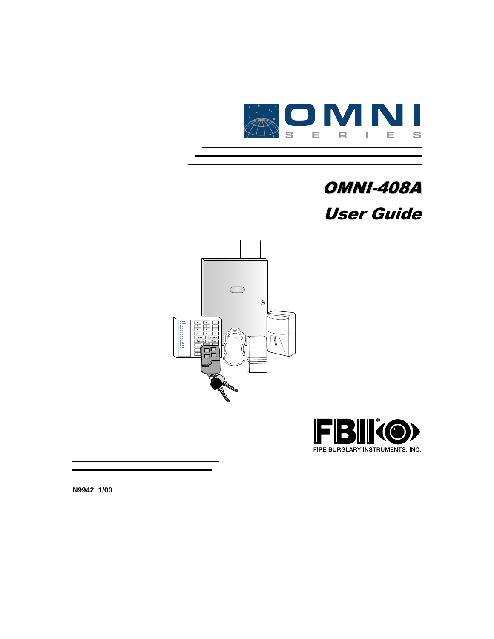

# **OMNI-408A User Guide**





**N9942 1/00**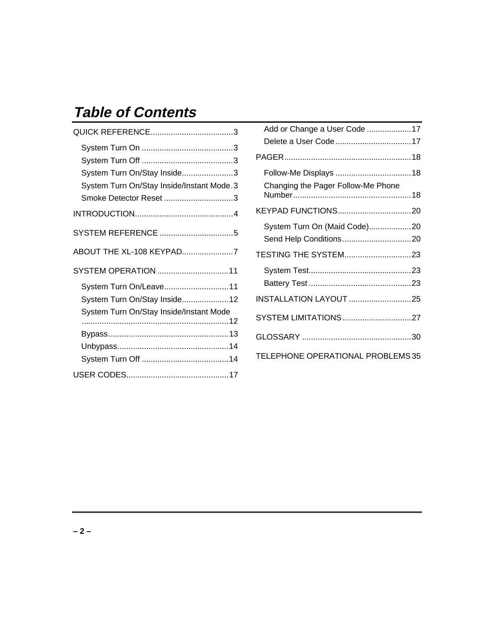# **Table of Contents**

| System Turn On/Stay Inside3               |
|-------------------------------------------|
| System Turn On/Stay Inside/Instant Mode.3 |
| Smoke Detector Reset 3                    |
|                                           |
|                                           |
| ABOUT THE XL-108 KEYPAD7                  |
| SYSTEM OPERATION 11                       |
| System Turn On/Leave11                    |
| System Turn On/Stay Inside12              |
| System Turn On/Stay Inside/Instant Mode   |
|                                           |
|                                           |
|                                           |
|                                           |

| Add or Change a User Code 17       |  |
|------------------------------------|--|
| Delete a User Code 17              |  |
|                                    |  |
|                                    |  |
| Changing the Pager Follow-Me Phone |  |
|                                    |  |
| System Turn On (Maid Code)20       |  |
| Send Help Conditions20             |  |
| TESTING THE SYSTEM23               |  |
|                                    |  |
|                                    |  |
| <b>INSTALLATION LAYOUT 25</b>      |  |
| SYSTEM LIMITATIONS27               |  |
|                                    |  |
| TELEPHONE OPERATIONAL PROBLEMS 35  |  |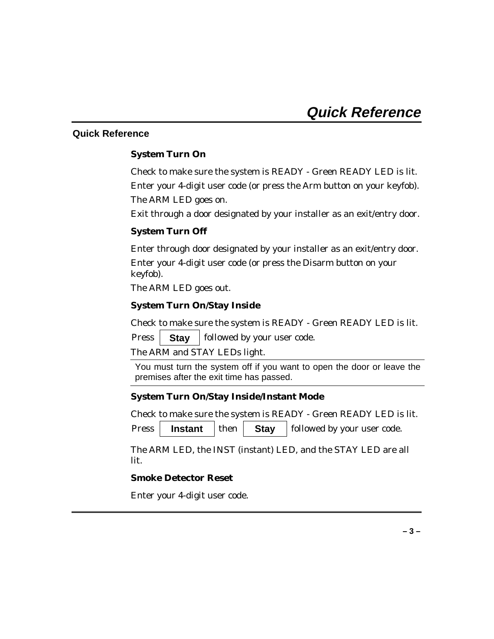## **Quick Reference**

### **System Turn On**

Check to make sure the system is READY - Green READY LED is lit. Enter your 4-digit user code (or press the Arm button on your keyfob). The ARM LED goes on.

Exit through a door designated by your installer as an exit/entry door.

### **System Turn Off**

Enter through door designated by your installer as an exit/entry door.

Enter your 4-digit user code (or press the Disarm button on your keyfob).

The ARM LED goes out.

# **System Turn On/Stay Inside**

Check to make sure the system is READY - Green READY LED is lit.

Press **Stay** | followed by your user code.

The ARM and STAY LEDs light.

You must turn the system off if you want to open the door or leave the premises after the exit time has passed.

### **System Turn On/Stay Inside/Instant Mode**

Check to make sure the system is READY - Green READY LED is lit.

Press **| Instant** then **| Stay** followed by your user code.

The ARM LED, the INST (instant) LED, and the STAY LED are all lit.

### **Smoke Detector Reset**

Enter your 4-digit user code.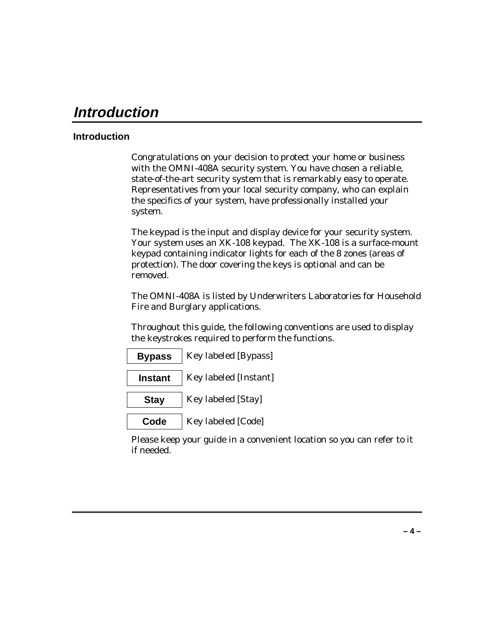# **Introduction**

# **Introduction**

Congratulations on your decision to protect your home or business with the OMNI-408A security system. You have chosen a reliable, state-of-the-art security system that is remarkably easy to operate. Representatives from your local security company, who can explain the specifics of your system, have professionally installed your system.

The keypad is the input and display device for your security system. Your system uses an XK-108 keypad. The XK-108 is a surface-mount keypad containing indicator lights for each of the 8 zones (areas of protection). The door covering the keys is optional and can be removed.

The OMNI-408A is listed by Underwriters Laboratories for Household Fire and Burglary applications.

Throughout this guide, the following conventions are used to display the keystrokes required to perform the functions.

| <b>Bypass</b>  | <b>Key labeled [Bypass]</b>  |
|----------------|------------------------------|
| <b>Instant</b> | <b>Key labeled [Instant]</b> |

**Stay** | Key labeled [Stay]

**Code** | Key labeled [Code]

Please keep your guide in a convenient location so you can refer to it if needed.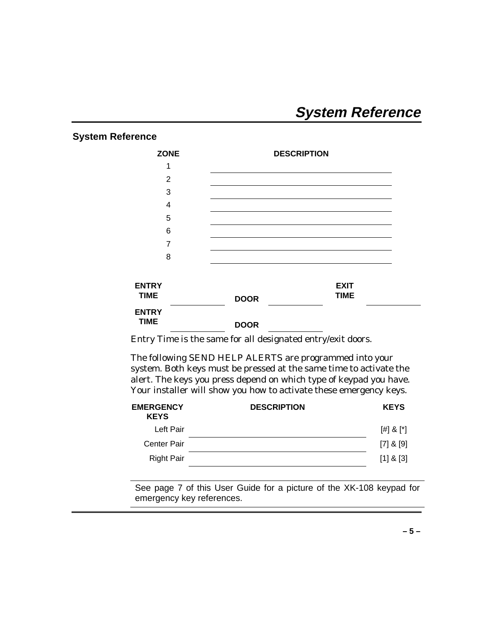# **System Reference**

# **System Reference**

| <b>ZONE</b>                 | <b>DESCRIPTION</b>                        |
|-----------------------------|-------------------------------------------|
| 1                           |                                           |
| 2                           |                                           |
| 3                           |                                           |
| 4                           |                                           |
| 5                           |                                           |
| 6                           |                                           |
| 7                           |                                           |
| 8                           |                                           |
| <b>ENTRY</b><br><b>TIME</b> | <b>EXIT</b><br><b>TIME</b><br><b>DOOR</b> |
| <b>ENTRY</b><br><b>TIME</b> | <b>DOOR</b>                               |

Entry Time is the same for all designated entry/exit doors.

The following SEND HELP ALERTS are programmed into your system. Both keys must be pressed at the same time to activate the alert. The keys you press depend on which type of keypad you have. Your installer will show you how to activate these emergency keys.

| <b>EMERGENCY</b><br><b>KEYS</b> | <b>DESCRIPTION</b> | <b>KEYS</b>     |
|---------------------------------|--------------------|-----------------|
| Left Pair                       |                    | $[$ #] & $[$ *] |
| Center Pair                     |                    | $[7]$ & $[9]$   |
| <b>Right Pair</b>               |                    | $[1]$ & $[3]$   |
|                                 |                    |                 |

See page 7 of this User Guide for a picture of the XK-108 keypad for emergency key references.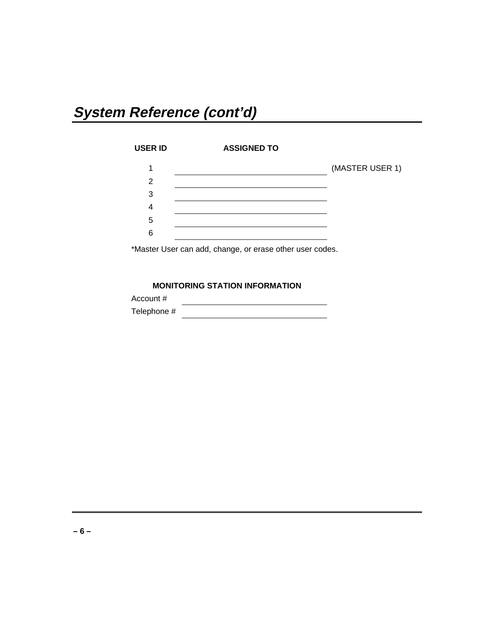# **System Reference (cont'd)**

| <b>USER ID</b> | <b>ASSIGNED TO</b> |                 |
|----------------|--------------------|-----------------|
| 1              |                    | (MASTER USER 1) |
| 2              |                    |                 |
| 3              |                    |                 |
| 4              |                    |                 |
| 5              |                    |                 |
| 6              |                    |                 |
|                |                    |                 |

\*Master User can add, change, or erase other user codes.

## **MONITORING STATION INFORMATION**

| Account #   |  |
|-------------|--|
| Telephone # |  |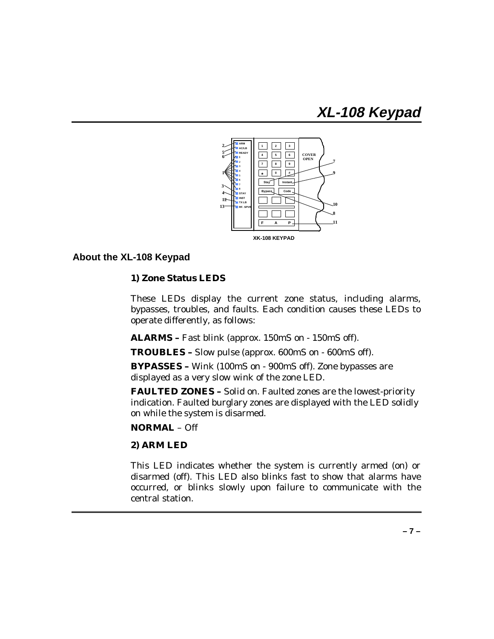# **XL-108 Keypad**



## **About the XL-108 Keypad**

#### **1) Zone Status LEDS**

These LEDs display the current zone status, including alarms, bypasses, troubles, and faults. Each condition causes these LEDs to operate differently, as follows:

**ALARMS –** Fast blink (approx. 150mS on - 150mS off).

**TROUBLES –** Slow pulse (approx. 600mS on - 600mS off).

**BYPASSES –** Wink (100mS on - 900mS off). Zone bypasses are displayed as a very slow wink of the zone LED.

**FAULTED ZONES –** Solid on. Faulted zones are the lowest-priority indication. Faulted burglary zones are displayed with the LED solidly on while the system is disarmed.

# **NORMAL** – Off

#### **2) ARM LED**

This LED indicates whether the system is currently armed (on) or disarmed (off). This LED also blinks fast to show that alarms have occurred, or blinks slowly upon failure to communicate with the central station.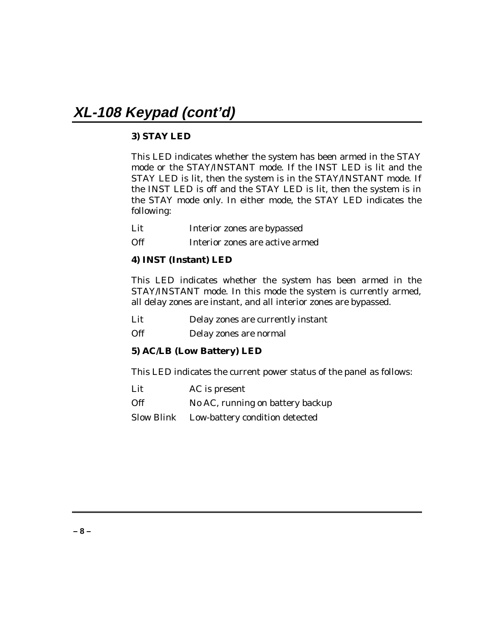# **3) STAY LED**

This LED indicates whether the system has been armed in the STAY mode or the STAY/INSTANT mode. If the INST LED is lit and the STAY LED is lit, then the system is in the STAY/INSTANT mode. If the INST LED is off and the STAY LED is lit, then the system is in the STAY mode only. In either mode, the STAY LED indicates the following:

Lit Interior zones are bypassed

Off **Interior zones are active armed** 

### **4) INST (Instant) LED**

This LED indicates whether the system has been armed in the STAY/INSTANT mode. In this mode the system is currently armed, all delay zones are instant, and all interior zones are bypassed.

Lit Delay zones are currently instant

Off Delay zones are normal

### **5) AC/LB (Low Battery) LED**

This LED indicates the current power status of the panel as follows:

| Lit        | AC is present                             |
|------------|-------------------------------------------|
| <b>Off</b> | No AC, running on battery backup          |
|            | Slow Blink Low-battery condition detected |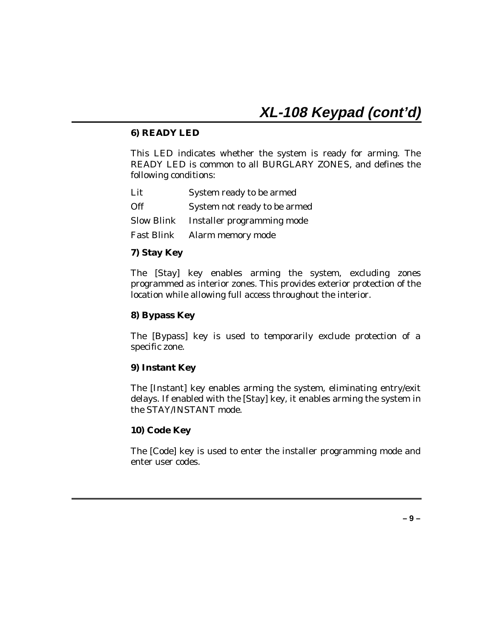#### **6) READY LED**

This LED indicates whether the system is ready for arming. The READY LED is common to all BURGLARY ZONES, and defines the following conditions:

| Lit | System ready to be armed              |
|-----|---------------------------------------|
| Off | System not ready to be armed          |
|     | Slow Blink Installer programming mode |
|     | Fast Blink Alarm memory mode          |

#### **7) Stay Key**

The [Stay] key enables arming the system, excluding zones programmed as interior zones. This provides exterior protection of the location while allowing full access throughout the interior.

#### **8) Bypass Key**

The [Bypass] key is used to temporarily exclude protection of a specific zone.

### **9) Instant Key**

The [Instant] key enables arming the system, eliminating entry/exit delays. If enabled with the [Stay] key, it enables arming the system in the STAY/INSTANT mode.

#### **10) Code Key**

The [Code] key is used to enter the installer programming mode and enter user codes.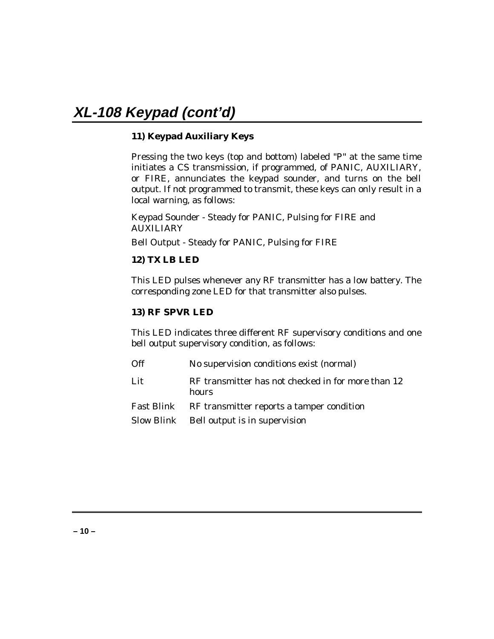# **11) Keypad Auxiliary Keys**

Pressing the two keys (top and bottom) labeled "P" at the same time initiates a CS transmission, if programmed, of PANIC, AUXILIARY, or FIRE, annunciates the keypad sounder, and turns on the bell output. If not programmed to transmit, these keys can only result in a local warning, as follows:

Keypad Sounder - Steady for PANIC, Pulsing for FIRE and AUXILIARY

Bell Output - Steady for PANIC, Pulsing for FIRE

# **12) TX LB LED**

This LED pulses whenever any RF transmitter has a low battery. The corresponding zone LED for that transmitter also pulses.

### **13) RF SPVR LED**

This LED indicates three different RF supervisory conditions and one bell output supervisory condition, as follows:

| Off | No supervision conditions exist (normal)                    |
|-----|-------------------------------------------------------------|
| Lit | RF transmitter has not checked in for more than 12<br>hours |
|     | Fast Blink RF transmitter reports a tamper condition        |
|     | Slow Blink Bell output is in supervision                    |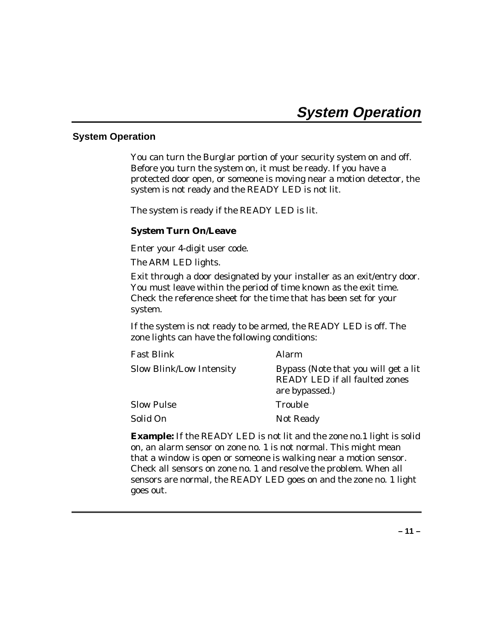### **System Operation**

You can turn the Burglar portion of your security system on and off. Before you turn the system on, it must be ready. If you have a protected door open, or someone is moving near a motion detector, the system is not ready and the READY LED is not lit.

The system is ready if the READY LED is lit.

#### **System Turn On/Leave**

Enter your 4-digit user code.

The ARM LED lights.

Exit through a door designated by your installer as an exit/entry door. You must leave within the period of time known as the exit time. Check the reference sheet for the time that has been set for your system.

If the system is not ready to be armed, the READY LED is off. The zone lights can have the following conditions:

| <b>Fast Blink</b>               | <b>Alarm</b>                                                                                    |
|---------------------------------|-------------------------------------------------------------------------------------------------|
| <b>Slow Blink/Low Intensity</b> | Bypass (Note that you will get a lit<br><b>READY LED if all faulted zones</b><br>are bypassed.) |
| <b>Slow Pulse</b>               | <b>Trouble</b>                                                                                  |
| Solid On                        | Not Ready                                                                                       |

**Example:** If the READY LED is not lit and the zone no.1 light is solid on, an alarm sensor on zone no. 1 is not normal. This might mean that a window is open or someone is walking near a motion sensor. Check all sensors on zone no. 1 and resolve the problem. When all sensors are normal, the READY LED goes on and the zone no. 1 light goes out.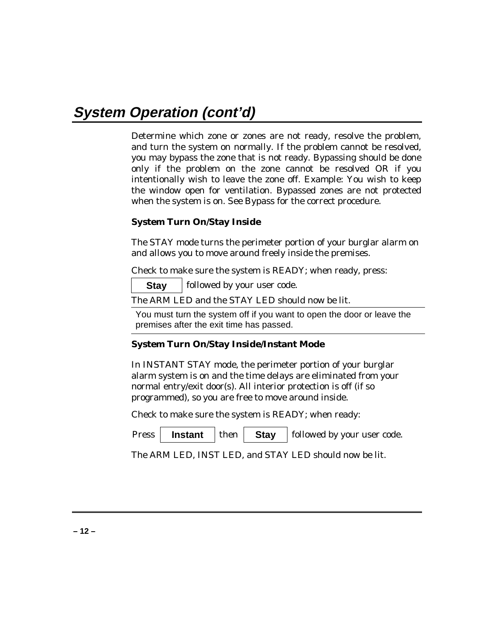Determine which zone or zones are not ready, resolve the problem, and turn the system on normally. If the problem cannot be resolved, you may bypass the zone that is not ready. Bypassing should be done only if the problem on the zone cannot be resolved OR if you intentionally wish to leave the zone off. Example: You wish to keep the window open for ventilation. Bypassed zones are not protected when the system is on. See Bypass for the correct procedure.

### **System Turn On/Stay Inside**

The STAY mode turns the perimeter portion of your burglar alarm on and allows you to move around freely inside the premises.

Check to make sure the system is READY; when ready, press:

**Stay** | followed by your user code.

The ARM LED and the STAY LED should now be lit.

You must turn the system off if you want to open the door or leave the premises after the exit time has passed.

### **System Turn On/Stay Inside/Instant Mode**

In INSTANT STAY mode, the perimeter portion of your burglar alarm system is on and the time delays are eliminated from your normal entry/exit door(s). All interior protection is off (if so programmed), so you are free to move around inside.

Check to make sure the system is READY; when ready:

Press **| Instant** then **Stay** followed by your user code.

The ARM LED, INST LED, and STAY LED should now be lit.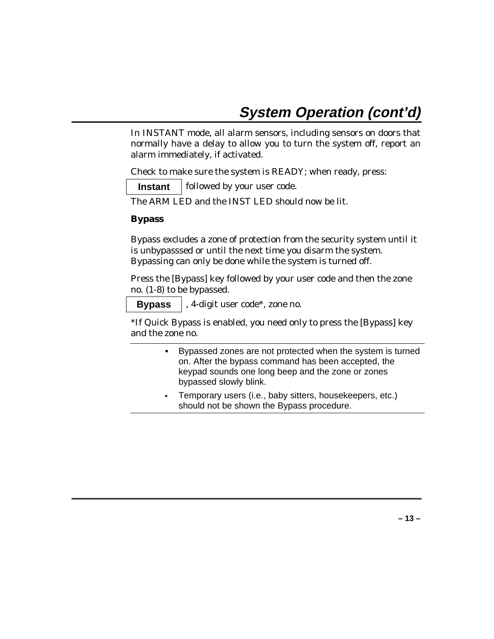In INSTANT mode, all alarm sensors, including sensors on doors that normally have a delay to allow you to turn the system off, report an alarm immediately, if activated.

Check to make sure the system is READY; when ready, press:

**Instant** | followed by your user code.

The ARM LED and the INST LED should now be lit.

#### **Bypass**

Bypass excludes a zone of protection from the security system until it is unbypasssed or until the next time you disarm the system. Bypassing can only be done while the system is turned off.

Press the [Bypass] key followed by your user code and then the zone no. (1-8) to be bypassed.

**Bypass** , 4-digit user code\*, zone no.

\*If Quick Bypass is enabled, you need only to press the [Bypass] key and the zone no.

- Bypassed zones are not protected when the system is turned on. After the bypass command has been accepted, the keypad sounds one long beep and the zone or zones bypassed slowly blink.
- Temporary users (i.e., baby sitters, housekeepers, etc.) should not be shown the Bypass procedure.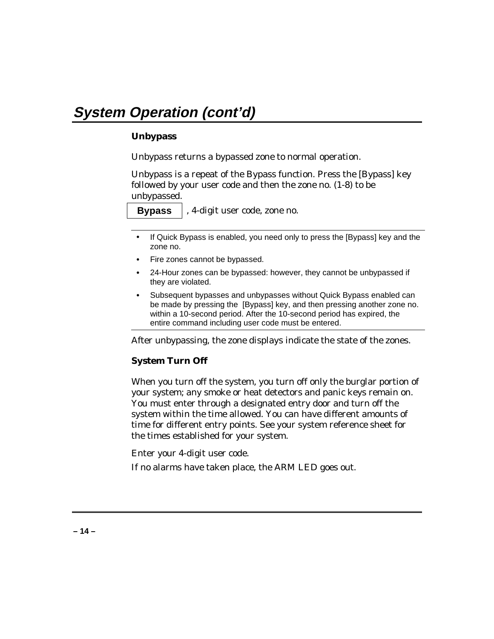### **Unbypass**

Unbypass returns a bypassed zone to normal operation.

Unbypass is a repeat of the Bypass function. Press the [Bypass] key followed by your user code and then the zone no. (1-8) to be unbypassed.

**Bypass** , 4-digit user code, zone no.

- 
- If Quick Bypass is enabled, you need only to press the [Bypass] key and the zone no.
- Fire zones cannot be bypassed.
- 24-Hour zones can be bypassed: however, they cannot be unbypassed if they are violated.
- Subsequent bypasses and unbypasses without Quick Bypass enabled can be made by pressing the [Bypass] key, and then pressing another zone no. within a 10-second period. After the 10-second period has expired, the entire command including user code must be entered.

After unbypassing, the zone displays indicate the state of the zones.

### **System Turn Off**

When you turn off the system, you turn off only the burglar portion of your system; any smoke or heat detectors and panic keys remain on. You must enter through a designated entry door and turn off the system within the time allowed. You can have different amounts of time for different entry points. See your system reference sheet for the times established for your system.

Enter your 4-digit user code.

If no alarms have taken place, the ARM LED goes out.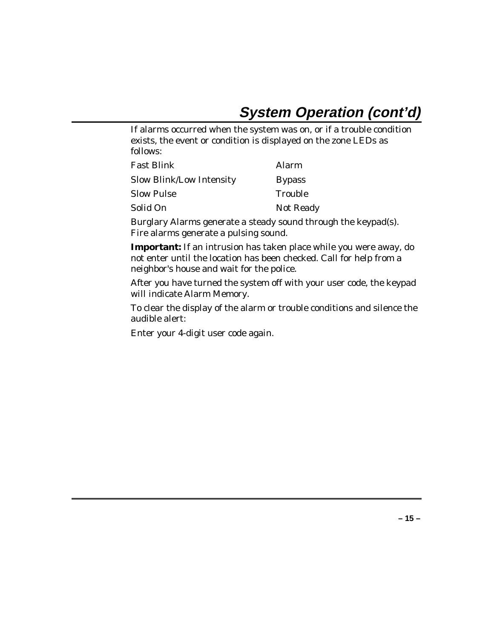If alarms occurred when the system was on, or if a trouble condition exists, the event or condition is displayed on the zone LEDs as follows:

| <b>Fast Blink</b>               | Alarm            |
|---------------------------------|------------------|
| <b>Slow Blink/Low Intensity</b> | <b>Bypass</b>    |
| <b>Slow Pulse</b>               | Trouble          |
| Solid On                        | <b>Not Ready</b> |

Burglary Alarms generate a steady sound through the keypad(s). Fire alarms generate a pulsing sound.

**Important:** If an intrusion has taken place while you were away, do not enter until the location has been checked. Call for help from a neighbor's house and wait for the police.

After you have turned the system off with your user code, the keypad will indicate Alarm Memory.

To clear the display of the alarm or trouble conditions and silence the audible alert:

Enter your 4-digit user code again.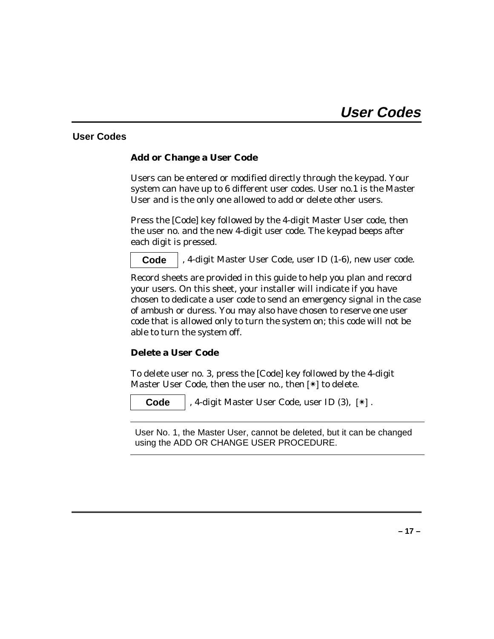# **User Codes**

### **Add or Change a User Code**

Users can be entered or modified directly through the keypad. Your system can have up to 6 different user codes. User no.1 is the Master User and is the only one allowed to add or delete other users.

Press the [Code] key followed by the 4-digit Master User code, then the user no. and the new 4-digit user code. The keypad beeps after each digit is pressed.

**Code** , 4-digit Master User Code, user ID (1-6), new user code.

Record sheets are provided in this guide to help you plan and record your users. On this sheet, your installer will indicate if you have chosen to dedicate a user code to send an emergency signal in the case of ambush or duress. You may also have chosen to reserve one user code that is allowed only to turn the system on; this code will not be able to turn the system off.

### **Delete a User Code**

To delete user no. 3, press the [Code] key followed by the 4-digit Master User Code, then the user no., then [✴] to delete.

**Code** , 4-digit Master User Code, user ID (3), [✴] .

User No. 1, the Master User, cannot be deleted, but it can be changed using the ADD OR CHANGE USER PROCEDURE.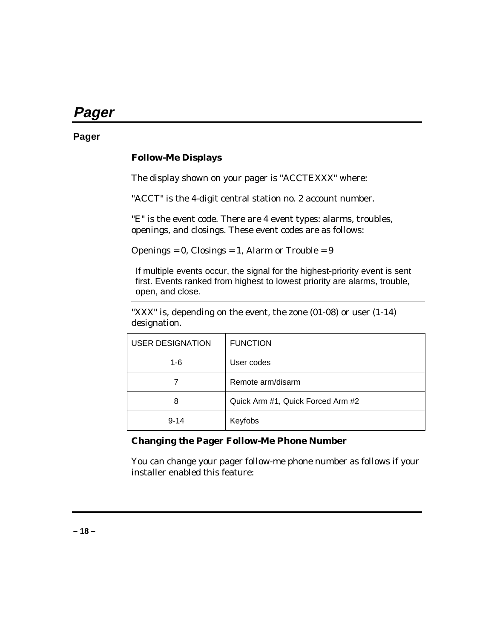# **Pager**

# **Pager**

## **Follow-Me Displays**

The display shown on your pager is "ACCTEXXX" where:

"ACCT" is the 4-digit central station no. 2 account number.

"E" is the event code. There are 4 event types: alarms, troubles, openings, and closings. These event codes are as follows:

Openings =  $0$ , Closings =  $1$ , Alarm or Trouble =  $9$ 

If multiple events occur, the signal for the highest-priority event is sent first. Events ranked from highest to lowest priority are alarms, trouble, open, and close.

"XXX" is, depending on the event, the zone (01-08) or user (1-14) designation.

| <b>USER DESIGNATION</b> | <b>FUNCTION</b>                   |
|-------------------------|-----------------------------------|
| $1 - 6$                 | User codes                        |
|                         | Remote arm/disarm                 |
| 8                       | Quick Arm #1, Quick Forced Arm #2 |
| $9 - 14$                | Keyfobs                           |

#### **Changing the Pager Follow-Me Phone Number**

You can change your pager follow-me phone number as follows if your installer enabled this feature: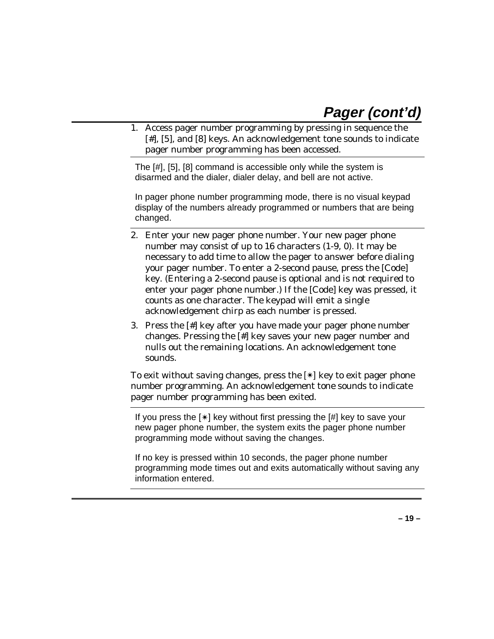# **Pager (cont'd)**

1. Access pager number programming by pressing in sequence the [#], [5], and [8] keys. An acknowledgement tone sounds to indicate pager number programming has been accessed.

The [#], [5], [8] command is accessible only while the system is disarmed and the dialer, dialer delay, and bell are not active.

In pager phone number programming mode, there is no visual keypad display of the numbers already programmed or numbers that are being changed.

- 2. Enter your new pager phone number. Your new pager phone number may consist of up to 16 characters (1-9, 0). It may be necessary to add time to allow the pager to answer before dialing your pager number. To enter a 2-second pause, press the [Code] key. (Entering a 2-second pause is optional and is not required to enter your pager phone number.) If the [Code] key was pressed, it counts as one character. The keypad will emit a single acknowledgement chirp as each number is pressed.
- 3. Press the [#] key after you have made your pager phone number changes. Pressing the [#] key saves your new pager number and nulls out the remaining locations. An acknowledgement tone sounds.

To exit without saving changes, press the [✴] key to exit pager phone number programming. An acknowledgement tone sounds to indicate pager number programming has been exited.

If you press the  $[*]$  key without first pressing the  $[#]$  key to save your new pager phone number, the system exits the pager phone number programming mode without saving the changes.

If no key is pressed within 10 seconds, the pager phone number programming mode times out and exits automatically without saving any information entered.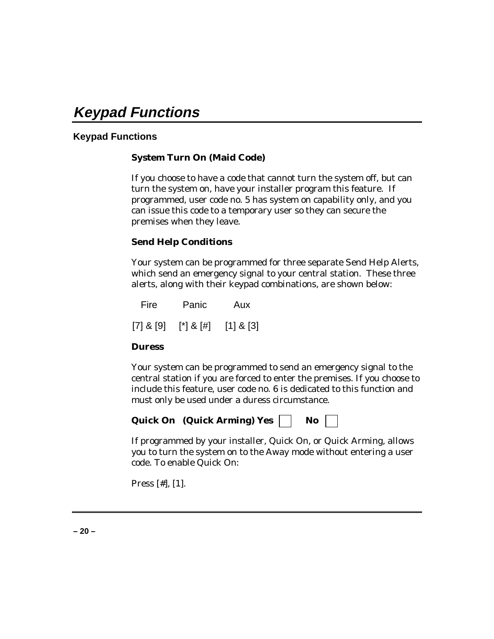# **Keypad Functions**

# **Keypad Functions**

# **System Turn On (Maid Code)**

If you choose to have a code that cannot turn the system off, but can turn the system on, have your installer program this feature. If programmed, user code no. 5 has system on capability only, and you can issue this code to a temporary user so they can secure the premises when they leave.

#### **Send Help Conditions**

Your system can be programmed for three separate Send Help Alerts, which send an emergency signal to your central station. These three alerts, along with their keypad combinations, are shown below:

Fire Panic Aux  $[7]$  &  $[9]$   $[*]$  &  $[#]$   $[1]$  &  $[3]$ 

#### **Duress**

Your system can be programmed to send an emergency signal to the central station if you are forced to enter the premises. If you choose to include this feature, user code no. 6 is dedicated to this function and must only be used under a duress circumstance.

|  | <b>Quick On</b> (Quick Arming) Yes | No |  |
|--|------------------------------------|----|--|
|--|------------------------------------|----|--|

If programmed by your installer, Quick On, or Quick Arming, allows you to turn the system on to the Away mode without entering a user code. To enable Quick On:

Press [#], [1].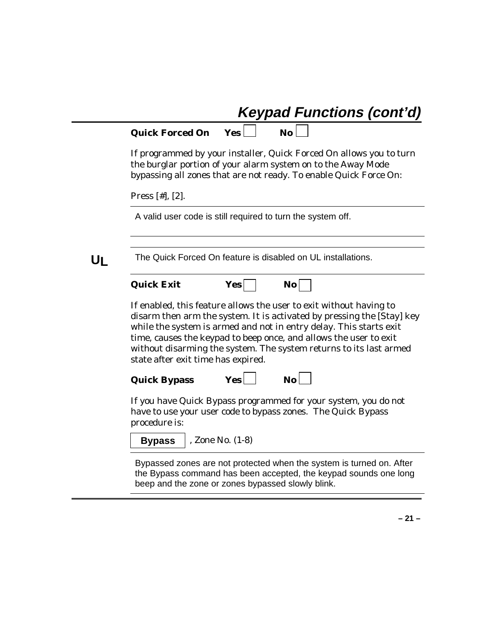# **Keypad Functions (cont'd)**

| <b>Quick Forced On</b> |  |
|------------------------|--|
|------------------------|--|

**Quick Forced On Yes No**

If programmed by your installer, Quick Forced On allows you to turn the burglar portion of your alarm system on to the Away Mode bypassing all zones that are not ready. To enable Quick Force On:

Press [#], [2].

A valid user code is still required to turn the system off.

**UL** The Quick Forced On feature is disabled on UL installations.

| <b>Quick Exit</b> |  |
|-------------------|--|
|-------------------|--|

|  | Yesl | No. |
|--|------|-----|
|--|------|-----|

If enabled, this feature allows the user to exit without having to disarm then arm the system. It is activated by pressing the [Stay] key while the system is armed and not in entry delay. This starts exit time, causes the keypad to beep once, and allows the user to exit without disarming the system. The system returns to its last armed state after exit time has expired.

Quick Bypass **Yes** No

If you have Quick Bypass programmed for your system, you do not have to use your user code to bypass zones. The Quick Bypass procedure is:

**Bypass** | , Zone No. (1-8)

Bypassed zones are not protected when the system is turned on. After the Bypass command has been accepted, the keypad sounds one long beep and the zone or zones bypassed slowly blink.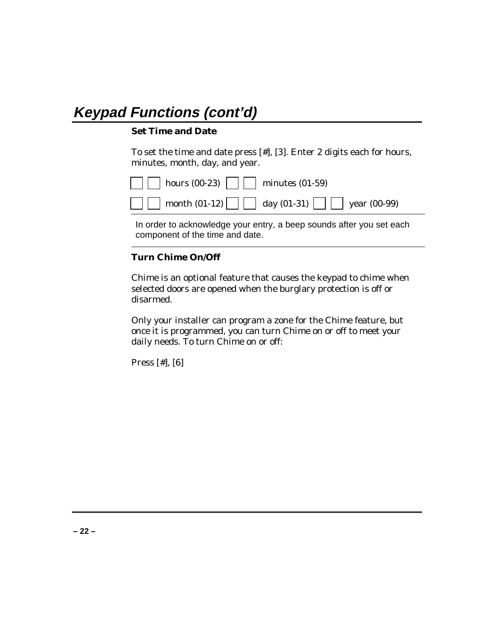# **Keypad Functions (cont'd)**

#### **Set Time and Date**

To set the time and date press [#], [3]. Enter 2 digits each for hours, minutes, month, day, and year.

| $\Box$ hours (00-23) $\Box$ minutes (01-59) |                                                             |
|---------------------------------------------|-------------------------------------------------------------|
|                                             | <b>nonth</b> (01-12) $\Box$ day (01-31) $\Box$ year (00-99) |

In order to acknowledge your entry, a beep sounds after you set each component of the time and date.

### **Turn Chime On/Off**

Chime is an optional feature that causes the keypad to chime when selected doors are opened when the burglary protection is off or disarmed.

Only your installer can program a zone for the Chime feature, but once it is programmed, you can turn Chime on or off to meet your daily needs. To turn Chime on or off:

Press [#], [6]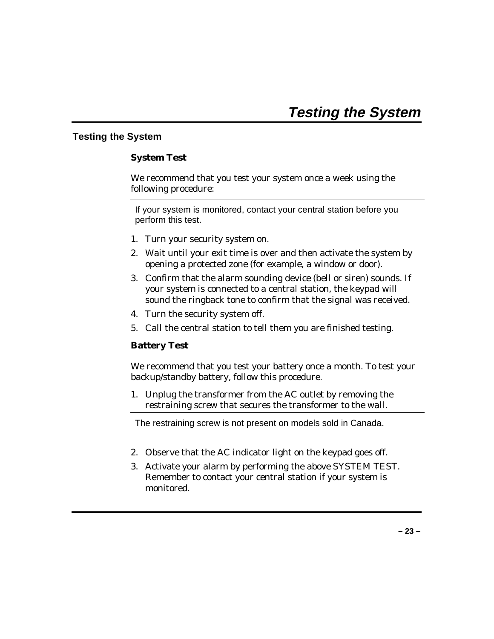# **Testing the System**

#### **System Test**

We recommend that you test your system once a week using the following procedure:

If your system is monitored, contact your central station before you perform this test.

- 1. Turn your security system on.
- 2. Wait until your exit time is over and then activate the system by opening a protected zone (for example, a window or door).
- 3. Confirm that the alarm sounding device (bell or siren) sounds. If your system is connected to a central station, the keypad will sound the ringback tone to confirm that the signal was received.
- 4. Turn the security system off.
- 5. Call the central station to tell them you are finished testing.

#### **Battery Test**

We recommend that you test your battery once a month. To test your backup/standby battery, follow this procedure.

1. Unplug the transformer from the AC outlet by removing the restraining screw that secures the transformer to the wall.

The restraining screw is not present on models sold in Canada.

- 2. Observe that the AC indicator light on the keypad goes off.
- 3. Activate your alarm by performing the above SYSTEM TEST. Remember to contact your central station if your system is monitored.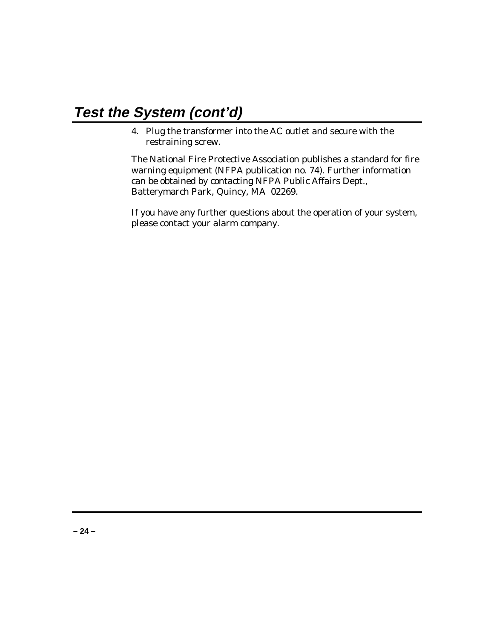# **Test the System (cont'd)**

4. Plug the transformer into the AC outlet and secure with the restraining screw.

The National Fire Protective Association publishes a standard for fire warning equipment (NFPA publication no. 74). Further information can be obtained by contacting NFPA Public Affairs Dept., Batterymarch Park, Quincy, MA 02269.

If you have any further questions about the operation of your system, please contact your alarm company.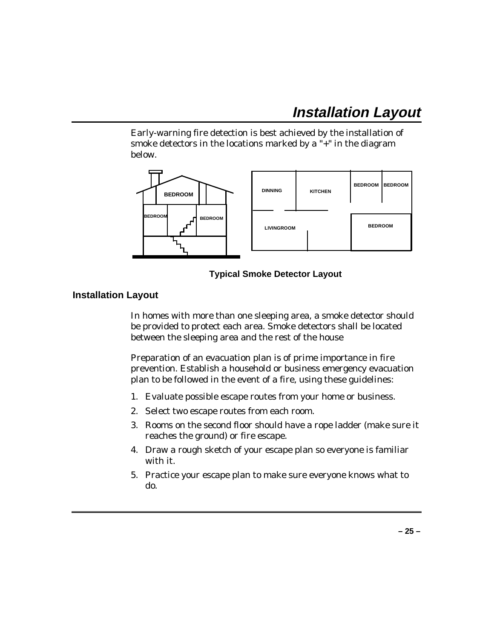# **Installation Layout**

Early-warning fire detection is best achieved by the installation of smoke detectors in the locations marked by a "+" in the diagram below.



#### **Typical Smoke Detector Layout**

### **Installation Layout**

In homes with more than one sleeping area, a smoke detector should be provided to protect each area. Smoke detectors shall be located between the sleeping area and the rest of the house

Preparation of an evacuation plan is of prime importance in fire prevention. Establish a household or business emergency evacuation plan to be followed in the event of a fire, using these guidelines:

- 1. Evaluate possible escape routes from your home or business.
- 2. Select two escape routes from each room.
- 3. Rooms on the second floor should have a rope ladder (make sure it reaches the ground) or fire escape.
- 4. Draw a rough sketch of your escape plan so everyone is familiar with it.
- 5. Practice your escape plan to make sure everyone knows what to do.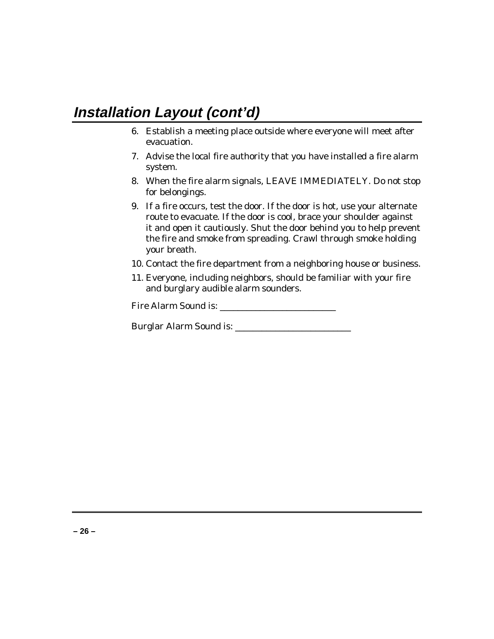# **Installation Layout (cont'd)**

- 6. Establish a meeting place outside where everyone will meet after evacuation.
- 7. Advise the local fire authority that you have installed a fire alarm system.
- 8. When the fire alarm signals, LEAVE IMMEDIATELY. Do not stop for belongings.
- 9. If a fire occurs, test the door. If the door is hot, use your alternate route to evacuate. If the door is cool, brace your shoulder against it and open it cautiously. Shut the door behind you to help prevent the fire and smoke from spreading. Crawl through smoke holding your breath.
- 10. Contact the fire department from a neighboring house or business.
- 11. Everyone, including neighbors, should be familiar with your fire and burglary audible alarm sounders.

Fire Alarm Sound is: \_\_\_\_\_\_\_\_\_\_\_\_\_\_\_\_\_\_\_\_\_\_\_\_\_\_

Burglar Alarm Sound is: \_\_\_\_\_\_\_\_\_\_\_\_\_\_\_\_\_\_\_\_\_\_\_\_\_\_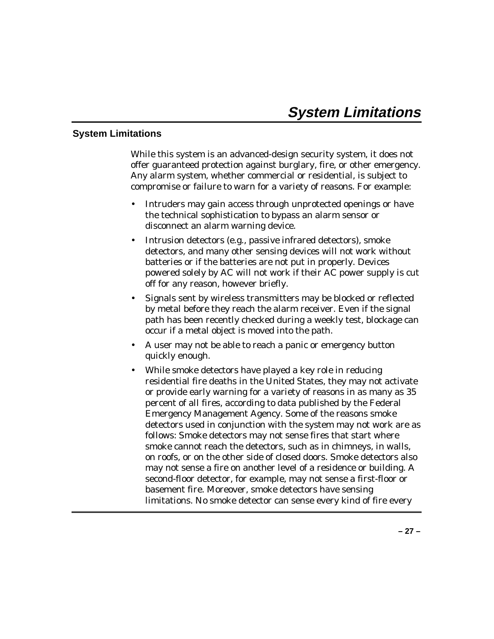### **System Limitations**

While this system is an advanced-design security system, it does not offer guaranteed protection against burglary, fire, or other emergency. Any alarm system, whether commercial or residential, is subject to compromise or failure to warn for a variety of reasons. For example:

- Intruders may gain access through unprotected openings or have the technical sophistication to bypass an alarm sensor or disconnect an alarm warning device.
- Intrusion detectors (e.g., passive infrared detectors), smoke detectors, and many other sensing devices will not work without batteries or if the batteries are not put in properly. Devices powered solely by AC will not work if their AC power supply is cut off for any reason, however briefly.
- Signals sent by wireless transmitters may be blocked or reflected by metal before they reach the alarm receiver. Even if the signal path has been recently checked during a weekly test, blockage can occur if a metal object is moved into the path.
- A user may not be able to reach a panic or emergency button quickly enough.
- While smoke detectors have played a key role in reducing residential fire deaths in the United States, they may not activate or provide early warning for a variety of reasons in as many as 35 percent of all fires, according to data published by the Federal Emergency Management Agency. Some of the reasons smoke detectors used in conjunction with the system may not work are as follows: Smoke detectors may not sense fires that start where smoke cannot reach the detectors, such as in chimneys, in walls, on roofs, or on the other side of closed doors. Smoke detectors also may not sense a fire on another level of a residence or building. A second-floor detector, for example, may not sense a first-floor or basement fire. Moreover, smoke detectors have sensing limitations. No smoke detector can sense every kind of fire every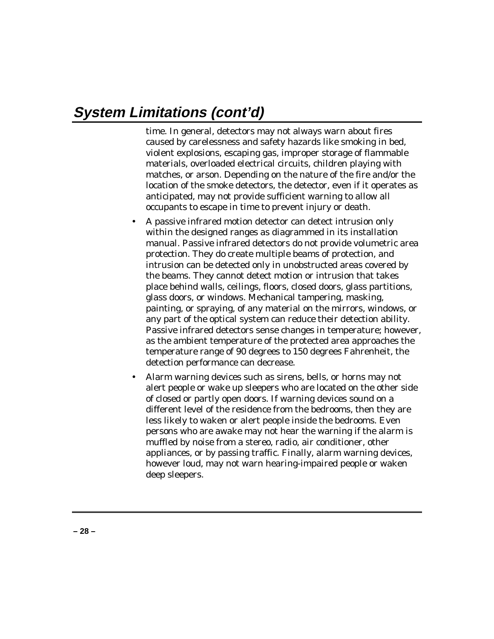# **System Limitations (cont'd)**

time. In general, detectors may not always warn about fires caused by carelessness and safety hazards like smoking in bed, violent explosions, escaping gas, improper storage of flammable materials, overloaded electrical circuits, children playing with matches, or arson. Depending on the nature of the fire and/or the location of the smoke detectors, the detector, even if it operates as anticipated, may not provide sufficient warning to allow all occupants to escape in time to prevent injury or death.

- A passive infrared motion detector can detect intrusion only within the designed ranges as diagrammed in its installation manual. Passive infrared detectors do not provide volumetric area protection. They do create multiple beams of protection, and intrusion can be detected only in unobstructed areas covered by the beams. They cannot detect motion or intrusion that takes place behind walls, ceilings, floors, closed doors, glass partitions, glass doors, or windows. Mechanical tampering, masking, painting, or spraying, of any material on the mirrors, windows, or any part of the optical system can reduce their detection ability. Passive infrared detectors sense changes in temperature; however, as the ambient temperature of the protected area approaches the temperature range of 90 degrees to 150 degrees Fahrenheit, the detection performance can decrease.
- Alarm warning devices such as sirens, bells, or horns may not alert people or wake up sleepers who are located on the other side of closed or partly open doors. If warning devices sound on a different level of the residence from the bedrooms, then they are less likely to waken or alert people inside the bedrooms. Even persons who are awake may not hear the warning if the alarm is muffled by noise from a stereo, radio, air conditioner, other appliances, or by passing traffic. Finally, alarm warning devices, however loud, may not warn hearing-impaired people or waken deep sleepers.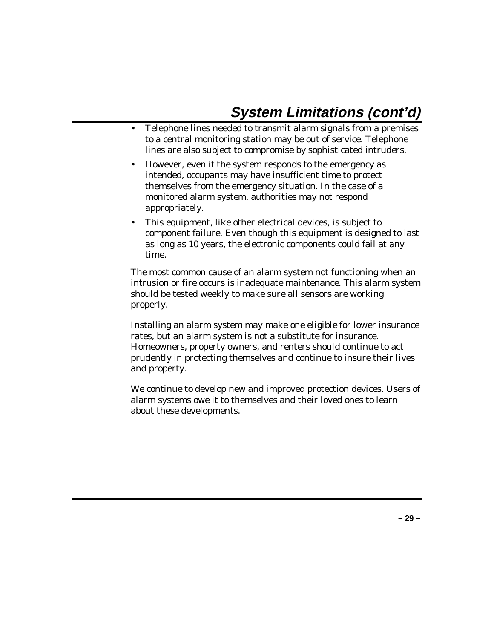# **System Limitations (cont'd)**

- Telephone lines needed to transmit alarm signals from a premises to a central monitoring station may be out of service. Telephone lines are also subject to compromise by sophisticated intruders.
- However, even if the system responds to the emergency as intended, occupants may have insufficient time to protect themselves from the emergency situation. In the case of a monitored alarm system, authorities may not respond appropriately.
- This equipment, like other electrical devices, is subject to component failure. Even though this equipment is designed to last as long as 10 years, the electronic components could fail at any time.

The most common cause of an alarm system not functioning when an intrusion or fire occurs is inadequate maintenance. This alarm system should be tested weekly to make sure all sensors are working properly.

Installing an alarm system may make one eligible for lower insurance rates, but an alarm system is not a substitute for insurance. Homeowners, property owners, and renters should continue to act prudently in protecting themselves and continue to insure their lives and property.

We continue to develop new and improved protection devices. Users of alarm systems owe it to themselves and their loved ones to learn about these developments.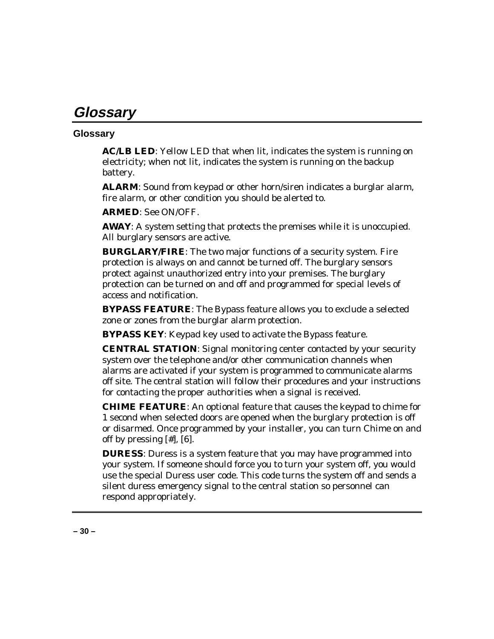# **Glossary**

# **Glossary**

**AC/LB LED**: Yellow LED that when lit, indicates the system is running on electricity; when not lit, indicates the system is running on the backup battery.

**ALARM**: Sound from keypad or other horn/siren indicates a burglar alarm, fire alarm, or other condition you should be alerted to.

**ARMED**: See ON/OFF.

**AWAY**: A system setting that protects the premises while it is unoccupied. All burglary sensors are active.

**BURGLARY/FIRE**: The two major functions of a security system. Fire protection is always on and cannot be turned off. The burglary sensors protect against unauthorized entry into your premises. The burglary protection can be turned on and off and programmed for special levels of access and notification.

**BYPASS FEATURE**: The Bypass feature allows you to exclude a selected zone or zones from the burglar alarm protection.

**BYPASS KEY**: Keypad key used to activate the Bypass feature.

**CENTRAL STATION**: Signal monitoring center contacted by your security system over the telephone and/or other communication channels when alarms are activated if your system is programmed to communicate alarms off site. The central station will follow their procedures and your instructions for contacting the proper authorities when a signal is received.

**CHIME FEATURE**: An optional feature that causes the keypad to chime for 1 second when selected doors are opened when the burglary protection is off or disarmed. Once programmed by your installer, you can turn Chime on and off by pressing [#], [6].

**DURESS**: Duress is a system feature that you may have programmed into your system. If someone should force you to turn your system off, you would use the special Duress user code. This code turns the system off and sends a silent duress emergency signal to the central station so personnel can respond appropriately.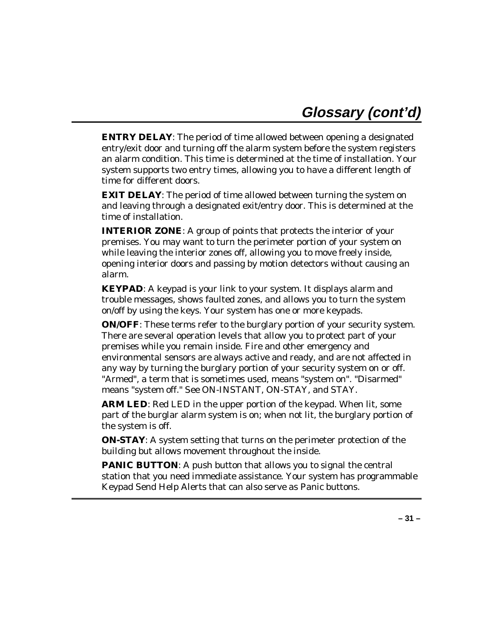**ENTRY DELAY**: The period of time allowed between opening a designated entry/exit door and turning off the alarm system before the system registers an alarm condition. This time is determined at the time of installation. Your system supports two entry times, allowing you to have a different length of time for different doors.

**EXIT DELAY**: The period of time allowed between turning the system on and leaving through a designated exit/entry door. This is determined at the time of installation.

**INTERIOR ZONE**: A group of points that protects the interior of your premises. You may want to turn the perimeter portion of your system on while leaving the interior zones off, allowing you to move freely inside, opening interior doors and passing by motion detectors without causing an alarm.

**KEYPAD:** A keypad is your link to your system. It displays alarm and trouble messages, shows faulted zones, and allows you to turn the system on/off by using the keys. Your system has one or more keypads.

**ON/OFF**: These terms refer to the burglary portion of your security system. There are several operation levels that allow you to protect part of your premises while you remain inside. Fire and other emergency and environmental sensors are always active and ready, and are not affected in any way by turning the burglary portion of your security system on or off. "Armed", a term that is sometimes used, means "system on". "Disarmed" means "system off." See ON-INSTANT, ON-STAY, and STAY.

**ARM LED:** Red LED in the upper portion of the keypad. When lit, some part of the burglar alarm system is on; when not lit, the burglary portion of the system is off.

**ON-STAY**: A system setting that turns on the perimeter protection of the building but allows movement throughout the inside.

**PANIC BUTTON:** A push button that allows you to signal the central station that you need immediate assistance. Your system has programmable Keypad Send Help Alerts that can also serve as Panic buttons.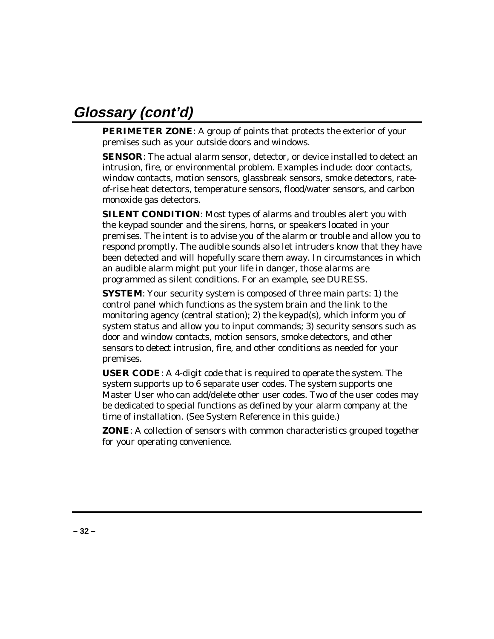# **Glossary (cont'd)**

**PERIMETER ZONE**: A group of points that protects the exterior of your premises such as your outside doors and windows.

**SENSOR:** The actual alarm sensor, detector, or device installed to detect an intrusion, fire, or environmental problem. Examples include: door contacts, window contacts, motion sensors, glassbreak sensors, smoke detectors, rateof-rise heat detectors, temperature sensors, flood/water sensors, and carbon monoxide gas detectors.

**SILENT CONDITION**: Most types of alarms and troubles alert you with the keypad sounder and the sirens, horns, or speakers located in your premises. The intent is to advise you of the alarm or trouble and allow you to respond promptly. The audible sounds also let intruders know that they have been detected and will hopefully scare them away. In circumstances in which an audible alarm might put your life in danger, those alarms are programmed as silent conditions. For an example, see DURESS.

**SYSTEM:** Your security system is composed of three main parts: 1) the control panel which functions as the system brain and the link to the monitoring agency (central station); 2) the keypad(s), which inform you of system status and allow you to input commands; 3) security sensors such as door and window contacts, motion sensors, smoke detectors, and other sensors to detect intrusion, fire, and other conditions as needed for your premises.

**USER CODE**: A 4-digit code that is required to operate the system. The system supports up to 6 separate user codes. The system supports one Master User who can add/delete other user codes. Two of the user codes may be dedicated to special functions as defined by your alarm company at the time of installation. (See System Reference in this guide.)

**ZONE**: A collection of sensors with common characteristics grouped together for your operating convenience.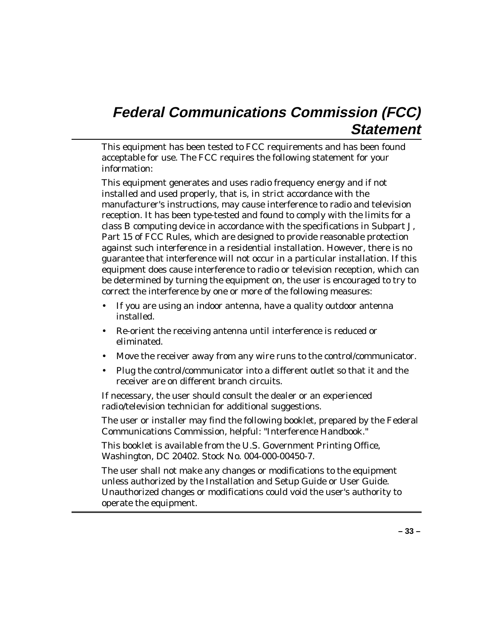# **Federal Communications Commission (FCC) Statement**

This equipment has been tested to FCC requirements and has been found acceptable for use. The FCC requires the following statement for your information:

This equipment generates and uses radio frequency energy and if not installed and used properly, that is, in strict accordance with the manufacturer's instructions, may cause interference to radio and television reception. It has been type-tested and found to comply with the limits for a class B computing device in accordance with the specifications in Subpart J, Part 15 of FCC Rules, which are designed to provide reasonable protection against such interference in a residential installation. However, there is no guarantee that interference will not occur in a particular installation. If this equipment does cause interference to radio or television reception, which can be determined by turning the equipment on, the user is encouraged to try to correct the interference by one or more of the following measures:

- If you are using an indoor antenna, have a quality outdoor antenna installed.
- Re-orient the receiving antenna until interference is reduced or eliminated.
- Move the receiver away from any wire runs to the control/communicator.
- Plug the control/communicator into a different outlet so that it and the receiver are on different branch circuits.

If necessary, the user should consult the dealer or an experienced radio/television technician for additional suggestions.

The user or installer may find the following booklet, prepared by the Federal Communications Commission, helpful: "Interference Handbook."

This booklet is available from the U.S. Government Printing Office, Washington, DC 20402. Stock No. 004-000-00450-7.

The user shall not make any changes or modifications to the equipment unless authorized by the Installation and Setup Guide or User Guide. Unauthorized changes or modifications could void the user's authority to operate the equipment.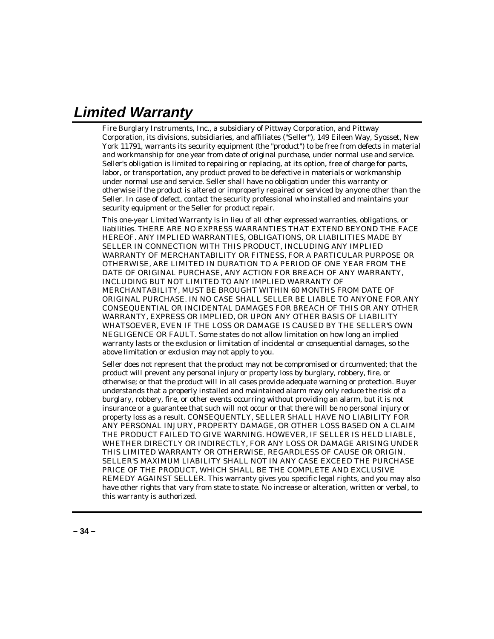# **Limited Warranty**

Fire Burglary Instruments, Inc., a subsidiary of Pittway Corporation, and Pittway Corporation, its divisions, subsidiaries, and affiliates ("Seller"), 149 Eileen Way, Syosset, New York 11791, warrants its security equipment (the "product") to be free from defects in material and workmanship for one year from date of original purchase, under normal use and service. Seller's obligation is limited to repairing or replacing, at its option, free of charge for parts, labor, or transportation, any product proved to be defective in materials or workmanship under normal use and service. Seller shall have no obligation under this warranty or otherwise if the product is altered or improperly repaired or serviced by anyone other than the Seller. In case of defect, contact the security professional who installed and maintains your security equipment or the Seller for product repair.

This one-year Limited Warranty is in lieu of all other expressed warranties, obligations, or liabilities. THERE ARE NO EXPRESS WARRANTIES THAT EXTEND BEYOND THE FACE HEREOF. ANY IMPLIED WARRANTIES, OBLIGATIONS, OR LIABILITIES MADE BY SELLER IN CONNECTION WITH THIS PRODUCT, INCLUDING ANY IMPLIED WARRANTY OF MERCHANTABILITY OR FITNESS, FOR A PARTICULAR PURPOSE OR OTHERWISE, ARE LIMITED IN DURATION TO A PERIOD OF ONE YEAR FROM THE DATE OF ORIGINAL PURCHASE, ANY ACTION FOR BREACH OF ANY WARRANTY, INCLUDING BUT NOT LIMITED TO ANY IMPLIED WARRANTY OF MERCHANTABILITY, MUST BE BROUGHT WITHIN 60 MONTHS FROM DATE OF ORIGINAL PURCHASE. IN NO CASE SHALL SELLER BE LIABLE TO ANYONE FOR ANY CONSEQUENTIAL OR INCIDENTAL DAMAGES FOR BREACH OF THIS OR ANY OTHER WARRANTY, EXPRESS OR IMPLIED, OR UPON ANY OTHER BASIS OF LIABILITY WHATSOEVER, EVEN IF THE LOSS OR DAMAGE IS CAUSED BY THE SELLER'S OWN NEGLIGENCE OR FAULT. Some states do not allow limitation on how long an implied warranty lasts or the exclusion or limitation of incidental or consequential damages, so the above limitation or exclusion may not apply to you.

Seller does not represent that the product may not be compromised or circumvented; that the product will prevent any personal injury or property loss by burglary, robbery, fire, or otherwise; or that the product will in all cases provide adequate warning or protection. Buyer understands that a properly installed and maintained alarm may only reduce the risk of a burglary, robbery, fire, or other events occurring without providing an alarm, but it is not insurance or a guarantee that such will not occur or that there will be no personal injury or property loss as a result. CONSEQUENTLY, SELLER SHALL HAVE NO LIABILITY FOR ANY PERSONAL INJURY, PROPERTY DAMAGE, OR OTHER LOSS BASED ON A CLAIM THE PRODUCT FAILED TO GIVE WARNING. HOWEVER, IF SELLER IS HELD LIABLE, WHETHER DIRECTLY OR INDIRECTLY, FOR ANY LOSS OR DAMAGE ARISING UNDER THIS LIMITED WARRANTY OR OTHERWISE, REGARDLESS OF CAUSE OR ORIGIN, SELLER'S MAXIMUM LIABILITY SHALL NOT IN ANY CASE EXCEED THE PURCHASE PRICE OF THE PRODUCT, WHICH SHALL BE THE COMPLETE AND EXCLUSIVE REMEDY AGAINST SELLER. This warranty gives you specific legal rights, and you may also have other rights that vary from state to state. No increase or alteration, written or verbal, to this warranty is authorized.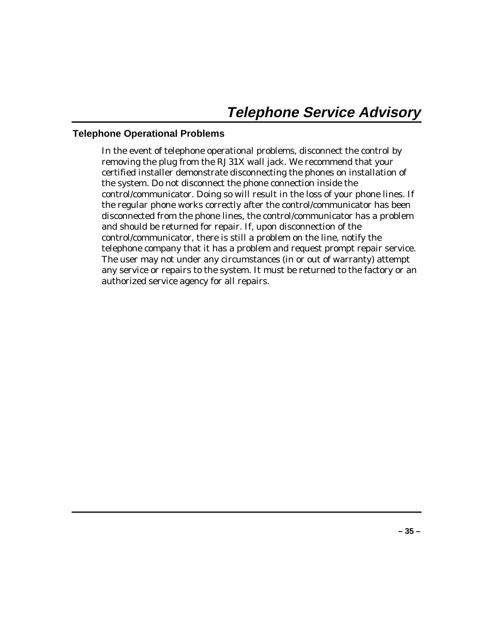# **Telephone Operational Problems**

In the event of telephone operational problems, disconnect the control by removing the plug from the RJ31X wall jack. We recommend that your certified installer demonstrate disconnecting the phones on installation of the system. Do not disconnect the phone connection inside the control/communicator. Doing so will result in the loss of your phone lines. If the regular phone works correctly after the control/communicator has been disconnected from the phone lines, the control/communicator has a problem and should be returned for repair. If, upon disconnection of the control/communicator, there is still a problem on the line, notify the telephone company that it has a problem and request prompt repair service. The user may not under any circumstances (in or out of warranty) attempt any service or repairs to the system. It must be returned to the factory or an authorized service agency for all repairs.